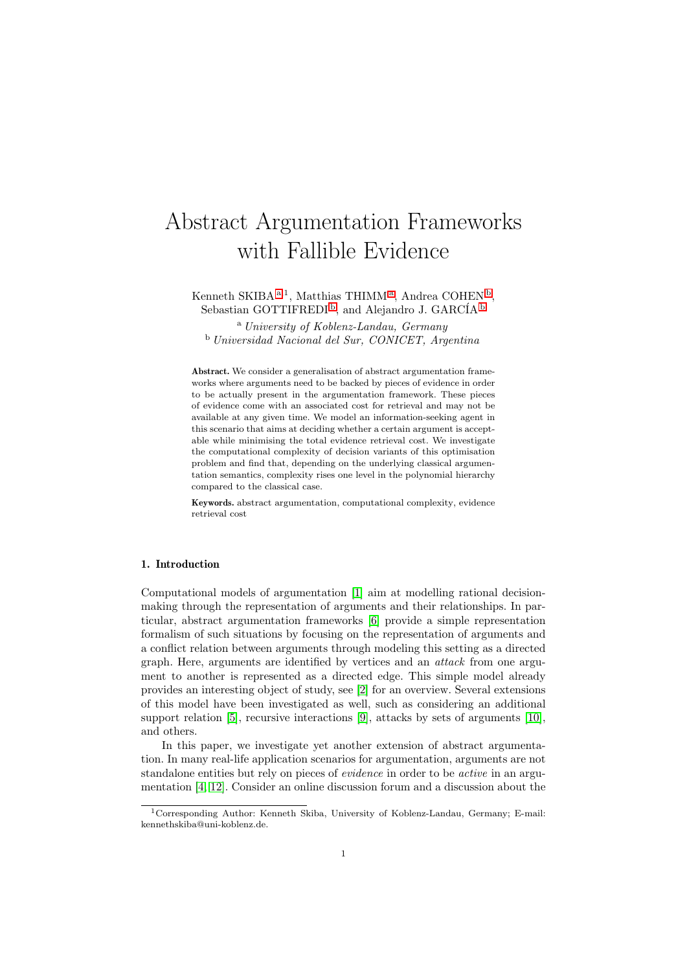# Abstract Argumentation Frameworks with Fallible Evidence

<span id="page-0-0"></span>Kenneth SKIBA<sup>[a](#page-0-0),1</sup>, Matthias THIMM<sup>a</sup>, Andrea COHEN<sup>[b](#page-0-1)</sup>, Se[b](#page-0-1)astian GOTTIFREDI<sup>b</sup>, and Alejandro J. GARCÍA<sup>b</sup>

<sup>a</sup> University of Koblenz-Landau, Germany <sup>b</sup> Universidad Nacional del Sur, CONICET, Argentina

<span id="page-0-1"></span>Abstract. We consider a generalisation of abstract argumentation frameworks where arguments need to be backed by pieces of evidence in order to be actually present in the argumentation framework. These pieces of evidence come with an associated cost for retrieval and may not be available at any given time. We model an information-seeking agent in this scenario that aims at deciding whether a certain argument is acceptable while minimising the total evidence retrieval cost. We investigate the computational complexity of decision variants of this optimisation problem and find that, depending on the underlying classical argumentation semantics, complexity rises one level in the polynomial hierarchy compared to the classical case.

Keywords. abstract argumentation, computational complexity, evidence retrieval cost

## 1. Introduction

Computational models of argumentation [\[1\]](#page-7-0) aim at modelling rational decisionmaking through the representation of arguments and their relationships. In particular, abstract argumentation frameworks [\[6\]](#page-7-1) provide a simple representation formalism of such situations by focusing on the representation of arguments and a conflict relation between arguments through modeling this setting as a directed graph. Here, arguments are identified by vertices and an attack from one argument to another is represented as a directed edge. This simple model already provides an interesting object of study, see [\[2\]](#page-7-2) for an overview. Several extensions of this model have been investigated as well, such as considering an additional support relation [\[5\]](#page-7-3), recursive interactions [\[9\]](#page-7-4), attacks by sets of arguments [\[10\]](#page-7-5), and others.

In this paper, we investigate yet another extension of abstract argumentation. In many real-life application scenarios for argumentation, arguments are not standalone entities but rely on pieces of evidence in order to be active in an argumentation [\[4,](#page-7-6) [12\]](#page-7-7). Consider an online discussion forum and a discussion about the

<sup>1</sup>Corresponding Author: Kenneth Skiba, University of Koblenz-Landau, Germany; E-mail: kennethskiba@uni-koblenz.de.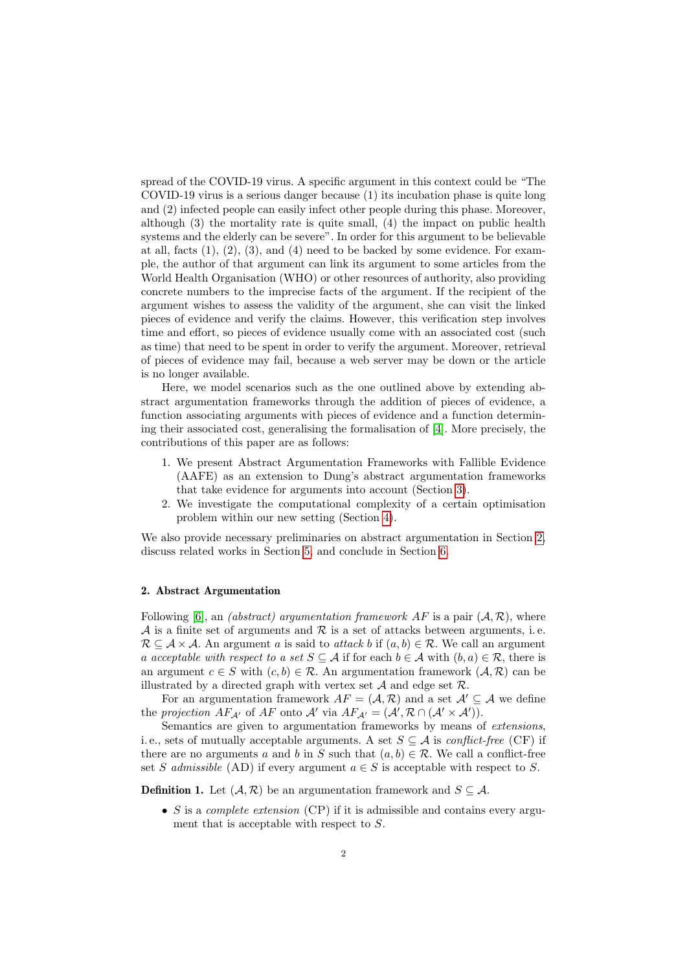spread of the COVID-19 virus. A specific argument in this context could be "The COVID-19 virus is a serious danger because (1) its incubation phase is quite long and (2) infected people can easily infect other people during this phase. Moreover, although (3) the mortality rate is quite small, (4) the impact on public health systems and the elderly can be severe". In order for this argument to be believable at all, facts  $(1)$ ,  $(2)$ ,  $(3)$ , and  $(4)$  need to be backed by some evidence. For example, the author of that argument can link its argument to some articles from the World Health Organisation (WHO) or other resources of authority, also providing concrete numbers to the imprecise facts of the argument. If the recipient of the argument wishes to assess the validity of the argument, she can visit the linked pieces of evidence and verify the claims. However, this verification step involves time and effort, so pieces of evidence usually come with an associated cost (such as time) that need to be spent in order to verify the argument. Moreover, retrieval of pieces of evidence may fail, because a web server may be down or the article is no longer available.

Here, we model scenarios such as the one outlined above by extending abstract argumentation frameworks through the addition of pieces of evidence, a function associating arguments with pieces of evidence and a function determining their associated cost, generalising the formalisation of [\[4\]](#page-7-6). More precisely, the contributions of this paper are as follows:

- 1. We present Abstract Argumentation Frameworks with Fallible Evidence (AAFE) as an extension to Dung's abstract argumentation frameworks that take evidence for arguments into account (Section [3\)](#page-2-0).
- 2. We investigate the computational complexity of a certain optimisation problem within our new setting (Section [4\)](#page-5-0).

We also provide necessary preliminaries on abstract argumentation in Section [2,](#page-1-0) discuss related works in Section [5,](#page-6-0) and conclude in Section [6.](#page-6-1)

### <span id="page-1-0"></span>2. Abstract Argumentation

Following [\[6\]](#page-7-1), an *(abstract)* argumentation framework AF is a pair  $(A, \mathcal{R})$ , where A is a finite set of arguments and  $\mathcal R$  is a set of attacks between arguments, i.e.  $\mathcal{R} \subseteq \mathcal{A} \times \mathcal{A}$ . An argument a is said to attack b if  $(a, b) \in \mathcal{R}$ . We call an argument a acceptable with respect to a set  $S \subseteq A$  if for each  $b \in A$  with  $(b, a) \in \mathcal{R}$ , there is an argument  $c \in S$  with  $(c, b) \in \mathcal{R}$ . An argumentation framework  $(\mathcal{A}, \mathcal{R})$  can be illustrated by a directed graph with vertex set  $A$  and edge set  $R$ .

For an argumentation framework  $AF = (\mathcal{A}, \mathcal{R})$  and a set  $\mathcal{A}' \subseteq \mathcal{A}$  we define the projection  $AF_{\mathcal{A}'}$  of  $AF$  onto  $\mathcal{A}'$  via  $AF_{\mathcal{A}'} = (\mathcal{A}', \mathcal{R} \cap (\mathcal{A}' \times \mathcal{A}')).$ 

Semantics are given to argumentation frameworks by means of extensions, i.e., sets of mutually acceptable arguments. A set  $S \subseteq \mathcal{A}$  is *conflict-free* (CF) if there are no arguments a and b in S such that  $(a, b) \in \mathcal{R}$ . We call a conflict-free set S admissible (AD) if every argument  $a \in S$  is acceptable with respect to S.

**Definition 1.** Let  $(A, \mathcal{R})$  be an argumentation framework and  $S \subseteq A$ .

• S is a *complete extension* (CP) if it is admissible and contains every argument that is acceptable with respect to S.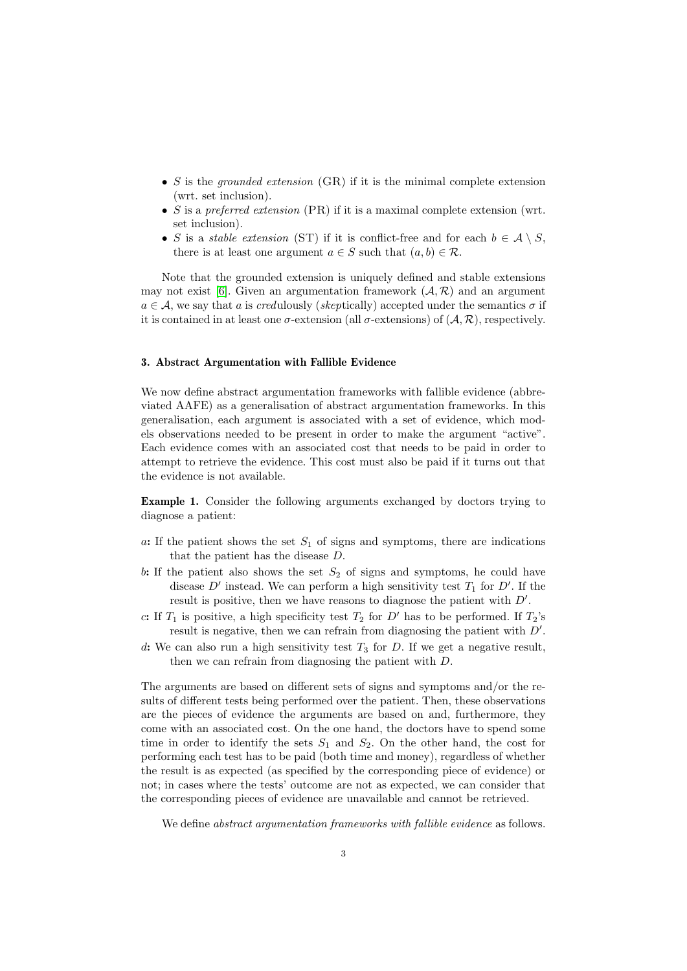- $S$  is the grounded extension (GR) if it is the minimal complete extension (wrt. set inclusion).
- S is a preferred extension (PR) if it is a maximal complete extension (wrt. set inclusion).
- S is a *stable extension* (ST) if it is conflict-free and for each  $b \in \mathcal{A} \setminus S$ , there is at least one argument  $a \in S$  such that  $(a, b) \in \mathcal{R}$ .

Note that the grounded extension is uniquely defined and stable extensions may not exist [\[6\]](#page-7-1). Given an argumentation framework  $(A, \mathcal{R})$  and an argument  $a \in \mathcal{A}$ , we say that a is credulously (skeptically) accepted under the semantics  $\sigma$  if it is contained in at least one  $\sigma$ -extension (all  $\sigma$ -extensions) of  $(\mathcal{A}, \mathcal{R})$ , respectively.

## <span id="page-2-0"></span>3. Abstract Argumentation with Fallible Evidence

We now define abstract argumentation frameworks with fallible evidence (abbreviated AAFE) as a generalisation of abstract argumentation frameworks. In this generalisation, each argument is associated with a set of evidence, which models observations needed to be present in order to make the argument "active". Each evidence comes with an associated cost that needs to be paid in order to attempt to retrieve the evidence. This cost must also be paid if it turns out that the evidence is not available.

<span id="page-2-1"></span>Example 1. Consider the following arguments exchanged by doctors trying to diagnose a patient:

- a: If the patient shows the set  $S_1$  of signs and symptoms, there are indications that the patient has the disease D.
- b: If the patient also shows the set  $S_2$  of signs and symptoms, he could have disease  $D'$  instead. We can perform a high sensitivity test  $T_1$  for  $D'$ . If the result is positive, then we have reasons to diagnose the patient with  $D'$ .
- c: If  $T_1$  is positive, a high specificity test  $T_2$  for D' has to be performed. If  $T_2$ 's result is negative, then we can refrain from diagnosing the patient with  $D'$ .
- d: We can also run a high sensitivity test  $T_3$  for D. If we get a negative result, then we can refrain from diagnosing the patient with D.

The arguments are based on different sets of signs and symptoms and/or the results of different tests being performed over the patient. Then, these observations are the pieces of evidence the arguments are based on and, furthermore, they come with an associated cost. On the one hand, the doctors have to spend some time in order to identify the sets  $S_1$  and  $S_2$ . On the other hand, the cost for performing each test has to be paid (both time and money), regardless of whether the result is as expected (as specified by the corresponding piece of evidence) or not; in cases where the tests' outcome are not as expected, we can consider that the corresponding pieces of evidence are unavailable and cannot be retrieved.

We define *abstract argumentation frameworks with fallible evidence* as follows.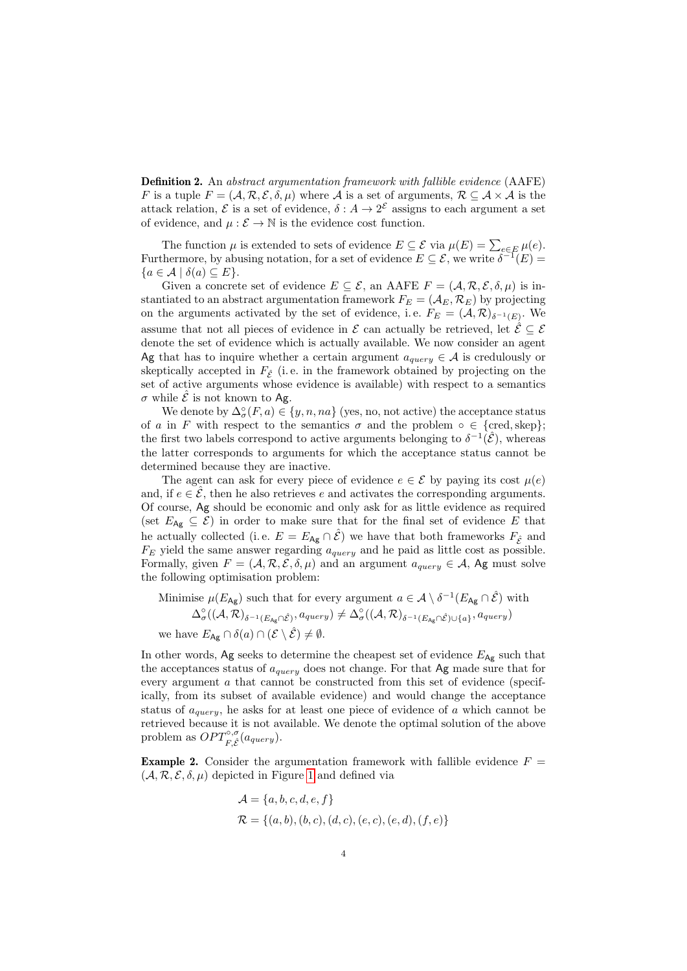Definition 2. An abstract argumentation framework with fallible evidence (AAFE) F is a tuple  $F = (\mathcal{A}, \mathcal{R}, \mathcal{E}, \delta, \mu)$  where A is a set of arguments,  $\mathcal{R} \subseteq \mathcal{A} \times \mathcal{A}$  is the attack relation,  $\mathcal E$  is a set of evidence,  $\delta: A \to 2^{\mathcal E}$  assigns to each argument a set of evidence, and  $\mu : \mathcal{E} \to \mathbb{N}$  is the evidence cost function.

The function  $\mu$  is extended to sets of evidence  $E \subseteq \mathcal{E}$  via  $\mu(E) = \sum_{e \in E} \mu(e)$ . Furthermore, by abusing notation, for a set of evidence  $E \subseteq \mathcal{E}$ , we write  $\delta^{-1}(E)$  ${a \in \mathcal{A} \mid \delta(a) \subseteq E}.$ 

Given a concrete set of evidence  $E \subseteq \mathcal{E}$ , an AAFE  $F = (\mathcal{A}, \mathcal{R}, \mathcal{E}, \delta, \mu)$  is instantiated to an abstract argumentation framework  $F_E = (\mathcal{A}_E, \mathcal{R}_E)$  by projecting on the arguments activated by the set of evidence, i.e.  $F_E = (\mathcal{A}, \mathcal{R})_{\delta^{-1}(E)}$ . We assume that not all pieces of evidence in  $\mathcal E$  can actually be retrieved, let  $\hat{\mathcal E} \subset \mathcal E$ denote the set of evidence which is actually available. We now consider an agent Ag that has to inquire whether a certain argument  $a_{query} \in \mathcal{A}$  is credulously or skeptically accepted in  $F_{\hat{\mathcal{E}}}$  (i.e. in the framework obtained by projecting on the set of active arguments whose evidence is available) with respect to a semantics  $\sigma$  while  $\mathcal{\hat{E}}$  is not known to Ag.

We denote by  $\Delta_{\sigma}^{\circ}(F, a) \in \{y, n, na\}$  (yes, no, not active) the acceptance status of a in F with respect to the semantics  $\sigma$  and the problem  $\circ \in \{ \text{cred, skep} \};$ the first two labels correspond to active arguments belonging to  $\delta^{-1}(\hat{\mathcal{E}})$ , whereas the latter corresponds to arguments for which the acceptance status cannot be determined because they are inactive.

The agent can ask for every piece of evidence  $e \in \mathcal{E}$  by paying its cost  $\mu(e)$ and, if  $e \in \hat{\mathcal{E}}$ , then he also retrieves e and activates the corresponding arguments. Of course, Ag should be economic and only ask for as little evidence as required (set  $E_{\mathsf{Ag}} \subseteq \mathcal{E}$ ) in order to make sure that for the final set of evidence E that he actually collected (i.e.  $E = E_{\mathsf{Ag}} \cap \hat{\mathcal{E}}$ ) we have that both frameworks  $F_{\hat{\mathcal{E}}}$  and  $F_E$  yield the same answer regarding  $a_{query}$  and he paid as little cost as possible. Formally, given  $F = (\mathcal{A}, \mathcal{R}, \mathcal{E}, \delta, \mu)$  and an argument  $a_{query} \in \mathcal{A}$ , Ag must solve the following optimisation problem:

Minimise  $\mu(E_{\mathsf{Ag}})$  such that for every argument  $a \in \mathcal{A} \setminus \delta^{-1}(E_{\mathsf{Ag}} \cap \hat{\mathcal{E}})$  with  $\Delta^{\circ}_{\sigma}((\mathcal{A},\mathcal{R})_{\delta^{-1}(E_{\mathsf{Ag}}\cap\hat{\mathcal{E}})},a_{query})\neq \Delta^{\circ}_{\sigma}((\mathcal{A},\mathcal{R})_{\delta^{-1}(E_{\mathsf{Ag}}\cap\hat{\mathcal{E}})\cup\{a\}},a_{query})$ we have  $E_{\mathsf{Ag}} \cap \delta(a) \cap (\mathcal{E} \setminus \hat{\mathcal{E}}) \neq \emptyset$ .

In other words, Ag seeks to determine the cheapest set of evidence  $E_{\mathsf{Ag}}$  such that the acceptances status of  $a_{query}$  does not change. For that Ag made sure that for every argument a that cannot be constructed from this set of evidence (specifically, from its subset of available evidence) and would change the acceptance status of  $a_{query}$ , he asks for at least one piece of evidence of a which cannot be retrieved because it is not available. We denote the optimal solution of the above problem as  $OPT^{\circ, \sigma}_{F, \hat{\mathcal{E}}}(a_{query}).$ 

<span id="page-3-0"></span>**Example 2.** Consider the argumentation framework with fallible evidence  $F =$  $(\mathcal{A}, \mathcal{R}, \mathcal{E}, \delta, \mu)$  depicted in Figure [1](#page-5-1) and defined via

$$
\mathcal{A} = \{a, b, c, d, e, f\}
$$
  

$$
\mathcal{R} = \{(a, b), (b, c), (d, c), (e, c), (e, d), (f, e)\}
$$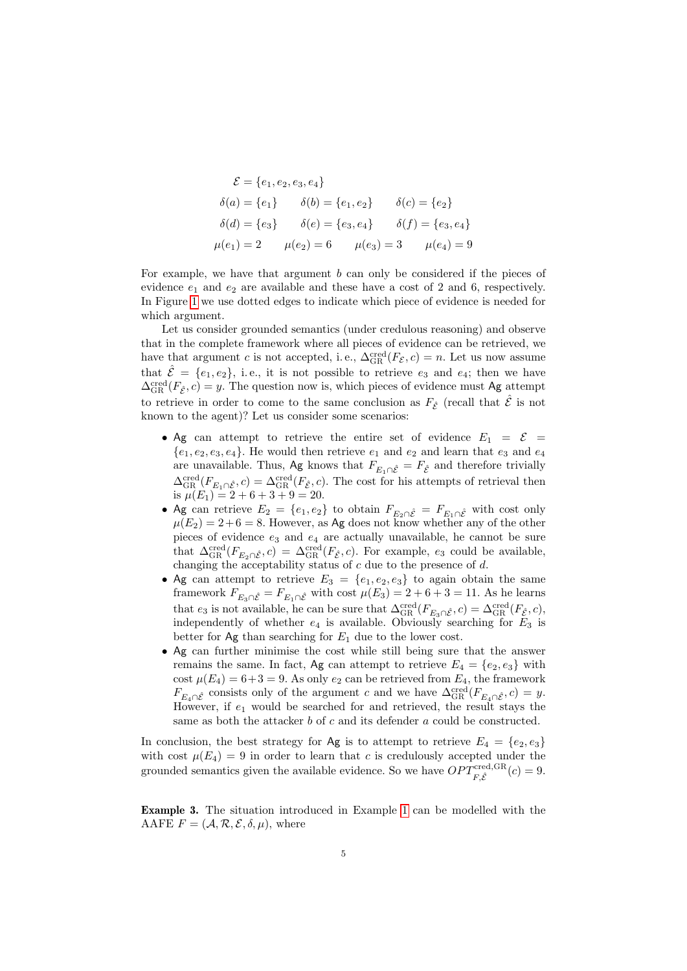$$
\mathcal{E} = \{e_1, e_2, e_3, e_4\}
$$
  
\n
$$
\delta(a) = \{e_1\} \qquad \delta(b) = \{e_1, e_2\} \qquad \delta(c) = \{e_2\}
$$
  
\n
$$
\delta(d) = \{e_3\} \qquad \delta(e) = \{e_3, e_4\} \qquad \delta(f) = \{e_3, e_4\}
$$
  
\n
$$
\mu(e_1) = 2 \qquad \mu(e_2) = 6 \qquad \mu(e_3) = 3 \qquad \mu(e_4) = 9
$$

For example, we have that argument  $b$  can only be considered if the pieces of evidence  $e_1$  and  $e_2$  are available and these have a cost of 2 and 6, respectively. In Figure [1](#page-5-1) we use dotted edges to indicate which piece of evidence is needed for which argument.

Let us consider grounded semantics (under credulous reasoning) and observe that in the complete framework where all pieces of evidence can be retrieved, we have that argument c is not accepted, i.e.,  $\Delta_{\rm GR}^{\rm cred}(F_{\mathcal{E}}, c) = n$ . Let us now assume that  $\hat{\mathcal{E}} = \{e_1, e_2\}$ , i.e., it is not possible to retrieve  $e_3$  and  $e_4$ ; then we have  $\Delta_{\rm GR}^{\rm cred}(F_{\hat{\mathcal{E}}}, c) = y$ . The question now is, which pieces of evidence must Ag attempt to retrieve in order to come to the same conclusion as  $F_{\hat{\varepsilon}}$  (recall that  $\hat{\mathcal{E}}$  is not known to the agent)? Let us consider some scenarios:

- Ag can attempt to retrieve the entire set of evidence  $E_1 = \mathcal{E}$  ${e_1, e_2, e_3, e_4}$ . He would then retrieve  $e_1$  and  $e_2$  and learn that  $e_3$  and  $e_4$ are unavailable. Thus, Ag knows that  $F_{E_1 \cap \hat{E}} = F_{\hat{E}}$  and therefore trivially  $\Delta_{\rm GR}^{\rm cred}(F_{E_1\cap\hat{\mathcal{E}}},c) = \Delta_{\rm GR}^{\rm cred}(F_{\hat{\mathcal{E}}},c)$ . The cost for his attempts of retrieval then is  $\mu(E_1) = 2 + 6 + 3 + 9 = 20$ .
- Ag can retrieve  $E_2 = \{e_1, e_2\}$  to obtain  $F_{E_2 \cap \hat{\mathcal{E}}} = F_{E_1 \cap \hat{\mathcal{E}}}$  with cost only  $\mu(E_2) = 2+6 = 8$ . However, as Ag does not know whether any of the other pieces of evidence  $e_3$  and  $e_4$  are actually unavailable, he cannot be sure that  $\Delta_{GR}^{\text{cred}}(F_{E_2 \cap \hat{\mathcal{E}}}, c) = \Delta_{GR}^{\text{cred}}(F_{\hat{\mathcal{E}}}, c)$ . For example,  $e_3$  could be available, changing the acceptability status of c due to the presence of d.
- Ag can attempt to retrieve  $E_3 = \{e_1, e_2, e_3\}$  to again obtain the same framework  $F_{E_3 \cap \hat{E}} = F_{E_1 \cap \hat{E}}$  with cost  $\mu(E_3) = 2 + 6 + 3 = 11$ . As he learns that  $e_3$  is not available, he can be sure that  $\Delta_{GR}^{\text{cred}}(F_{E_3 \cap \hat{\mathcal{E}}}, c) = \Delta_{GR}^{\text{cred}}(F_{\hat{\mathcal{E}}}, c)$ , independently of whether  $e_4$  is available. Obviously searching for  $E_3$  is better for  $\mathsf{Ag}$  than searching for  $E_1$  due to the lower cost.
- Ag can further minimise the cost while still being sure that the answer remains the same. In fact, Ag can attempt to retrieve  $E_4 = \{e_2, e_3\}$  with cost  $\mu(E_4) = 6+3 = 9$ . As only  $e_2$  can be retrieved from  $E_4$ , the framework  $F_{E_4 \cap \hat{\mathcal{E}}}$  consists only of the argument c and we have  $\Delta_{\rm GR}^{\rm cred}(F_{E_4 \cap \hat{\mathcal{E}}}, c) = y$ . However, if  $e_1$  would be searched for and retrieved, the result stays the same as both the attacker b of c and its defender a could be constructed.

In conclusion, the best strategy for Ag is to attempt to retrieve  $E_4 = \{e_2, e_3\}$ with cost  $\mu(E_4) = 9$  in order to learn that c is credulously accepted under the grounded semantics given the available evidence. So we have  $OPT_{F,\hat{\mathcal{E}}}^{\text{cred,GR}}(c) = 9$ .

Example 3. The situation introduced in Example [1](#page-2-1) can be modelled with the AAFE  $F = (\mathcal{A}, \mathcal{R}, \mathcal{E}, \delta, \mu)$ , where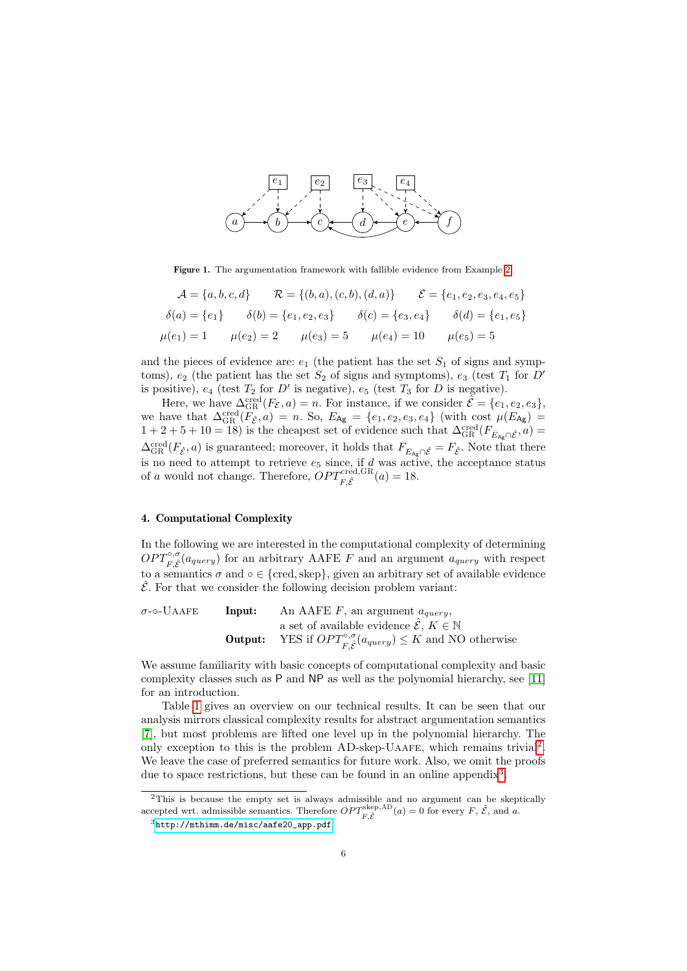

<span id="page-5-1"></span>Figure 1. The argumentation framework with fallible evidence from Example [2.](#page-3-0)

$$
\mathcal{A} = \{a, b, c, d\} \qquad \mathcal{R} = \{(b, a), (c, b), (d, a)\} \qquad \mathcal{E} = \{e_1, e_2, e_3, e_4, e_5\}
$$

$$
\delta(a) = \{e_1\} \qquad \delta(b) = \{e_1, e_2, e_3\} \qquad \delta(c) = \{e_3, e_4\} \qquad \delta(d) = \{e_1, e_5\}
$$

$$
\mu(e_1) = 1 \qquad \mu(e_2) = 2 \qquad \mu(e_3) = 5 \qquad \mu(e_4) = 10 \qquad \mu(e_5) = 5
$$

and the pieces of evidence are:  $e_1$  (the patient has the set  $S_1$  of signs and symptoms),  $e_2$  (the patient has the set  $S_2$  of signs and symptoms),  $e_3$  (test  $T_1$  for  $D'$ is positive),  $e_4$  (test  $T_2$  for  $D'$  is negative),  $e_5$  (test  $T_3$  for  $D$  is negative).

Here, we have  $\Delta_{GR}^{\text{cred}}(F_{\mathcal{E}}, a) = n$ . For instance, if we consider  $\tilde{\mathcal{E}} = \{e_1, e_2, e_3\}$ , we have that  $\Delta_{GR}^{\text{cred}}(F_{\hat{\mathcal{E}}}, a) = n$ . So,  $E_{\text{Ag}} = \{e_1, e_2, e_3, e_4\}$  (with cost  $\mu(E_{\text{Ag}}) =$  $1+2+5+10=18$ ) is the cheapest set of evidence such that  $\Delta_{GR}^{\text{cred}}(F_{E_{\mathsf{Ag}} \cap \hat{\mathcal{E}}}, a)$  $\Delta_{\rm GR}^{\rm cred}(F_{\hat{\mathcal{E}}},a)$  is guaranteed; moreover, it holds that  $F_{E_{A_{\hat{\mathcal{E}}}} \cap \hat{\mathcal{E}}} = F_{\hat{\mathcal{E}}}$ . Note that there is no need to attempt to retrieve  $e_5$  since, if d was active, the acceptance status of a would not change. Therefore,  $OPT_{F,\hat{\mathcal{E}}}^{\text{cred,GR}}(a) = 18$ .

### <span id="page-5-0"></span>4. Computational Complexity

In the following we are interested in the computational complexity of determining  $OPT_{F,\hat{\mathcal{E}}}^{\circ,\sigma}(a_{query})$  for an arbitrary AAFE F and an argument  $a_{query}$  with respect to a semantics  $\sigma$  and  $\circ \in \{ \text{cred, skep} \},$  given an arbitrary set of available evidence  $\hat{\mathcal{E}}$ . For that we consider the following decision problem variant:

| $\sigma$ -0-UAAFE | Input: | An AAFE $F$ , an argument $a_{query}$ ,                                                            |  |
|-------------------|--------|----------------------------------------------------------------------------------------------------|--|
|                   |        | a set of available evidence $\mathcal{E}, K \in \mathbb{N}$                                        |  |
|                   |        | <b>Output:</b> YES if $OPT_{F\hat{\mathcal{F}}}^{\circ,\sigma}(a_{query}) \leq K$ and NO otherwise |  |

We assume familiarity with basic concepts of computational complexity and basic complexity classes such as P and NP as well as the polynomial hierarchy, see [\[11\]](#page-7-8) for an introduction.

Table [1](#page-6-2) gives an overview on our technical results. It can be seen that our analysis mirrors classical complexity results for abstract argumentation semantics [\[7\]](#page-7-9), but most problems are lifted one level up in the polynomial hierarchy. The only exception to this is the problem AD-skep-UAAFE, which remains trivial<sup>[2](#page-5-2)</sup>. We leave the case of preferred semantics for future work. Also, we omit the proofs due to space restrictions, but these can be found in an online appendix<sup>[3](#page-5-3)</sup>.

<span id="page-5-2"></span><sup>&</sup>lt;sup>2</sup>This is because the empty set is always admissible and no argument can be skeptically accepted wrt. admissible semantics. Therefore  $OPT_{F,\hat{E}}^{\text{step,AD}}(a) = 0$  for every  $F, \hat{\mathcal{E}}$ , and a.

<span id="page-5-3"></span><sup>3</sup>[http://mthimm.de/misc/aafe20\\_app.pdf](http://mthimm.de/misc/aafe20_app.pdf)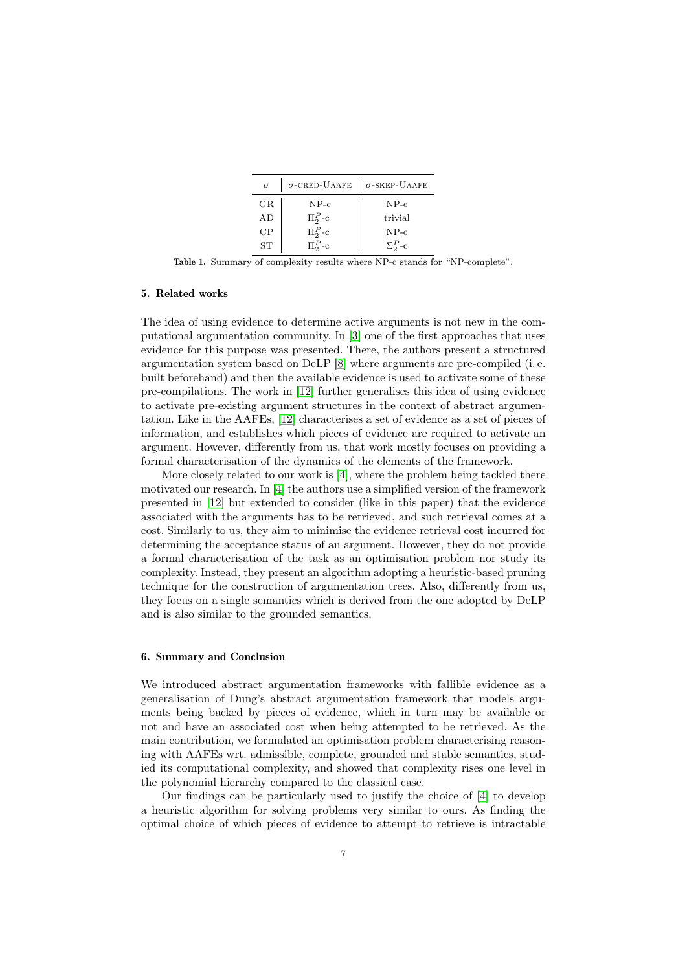|    | $\sigma$ -CRED-UAAFE | $\sigma$ -SKEP-UAAFE |
|----|----------------------|----------------------|
| GR | $NP-c$               | $NP-c$               |
| AD | $\Pi_2^P$ -c         | trivial              |
| CP | $\Pi_2^P$ -c         | $NP-c$               |
| ST | $\Pi^P_{2}$ -c       | $\Sigma_2^P$ -c      |

<span id="page-6-2"></span>Table 1. Summary of complexity results where NP-c stands for "NP-complete".

#### <span id="page-6-0"></span>5. Related works

The idea of using evidence to determine active arguments is not new in the computational argumentation community. In [\[3\]](#page-7-10) one of the first approaches that uses evidence for this purpose was presented. There, the authors present a structured argumentation system based on DeLP [\[8\]](#page-7-11) where arguments are pre-compiled (i. e. built beforehand) and then the available evidence is used to activate some of these pre-compilations. The work in [\[12\]](#page-7-7) further generalises this idea of using evidence to activate pre-existing argument structures in the context of abstract argumentation. Like in the AAFEs, [\[12\]](#page-7-7) characterises a set of evidence as a set of pieces of information, and establishes which pieces of evidence are required to activate an argument. However, differently from us, that work mostly focuses on providing a formal characterisation of the dynamics of the elements of the framework.

More closely related to our work is [\[4\]](#page-7-6), where the problem being tackled there motivated our research. In [\[4\]](#page-7-6) the authors use a simplified version of the framework presented in [\[12\]](#page-7-7) but extended to consider (like in this paper) that the evidence associated with the arguments has to be retrieved, and such retrieval comes at a cost. Similarly to us, they aim to minimise the evidence retrieval cost incurred for determining the acceptance status of an argument. However, they do not provide a formal characterisation of the task as an optimisation problem nor study its complexity. Instead, they present an algorithm adopting a heuristic-based pruning technique for the construction of argumentation trees. Also, differently from us, they focus on a single semantics which is derived from the one adopted by DeLP and is also similar to the grounded semantics.

### <span id="page-6-1"></span>6. Summary and Conclusion

We introduced abstract argumentation frameworks with fallible evidence as a generalisation of Dung's abstract argumentation framework that models arguments being backed by pieces of evidence, which in turn may be available or not and have an associated cost when being attempted to be retrieved. As the main contribution, we formulated an optimisation problem characterising reasoning with AAFEs wrt. admissible, complete, grounded and stable semantics, studied its computational complexity, and showed that complexity rises one level in the polynomial hierarchy compared to the classical case.

Our findings can be particularly used to justify the choice of [\[4\]](#page-7-6) to develop a heuristic algorithm for solving problems very similar to ours. As finding the optimal choice of which pieces of evidence to attempt to retrieve is intractable